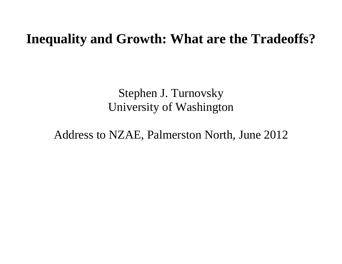# **Inequality and Growth: What are the Tradeoffs?**

Stephen J. Turnovsky University of Washington

Address to NZAE, Palmerston North, June 2012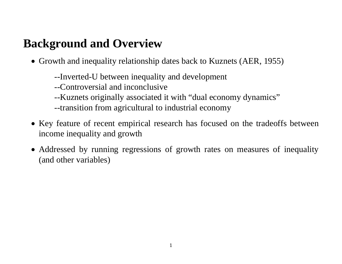# **Background and Overview**

- Growth and inequality relationship dates back to Kuznets (AER, 1955)
	- --Inverted-U between inequality and development
	- --Controversial and inconclusive
	- --Kuznets originally associated it with "dual economy dynamics"
	- --transition from agricultural to industrial economy
- Key feature of recent empirical research has focused on the tradeoffs between income inequality and growth
- Addressed by running regressions of growth rates on measures of inequality (and other variables)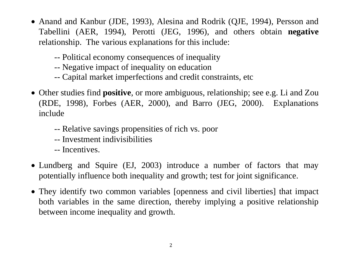- Anand and Kanbur (JDE, 1993), Alesina and Rodrik (QJE, 1994), Persson and Tabellini (AER, 1994), Perotti (JEG, 1996), and others obtain **negative** relationship. The various explanations for this include:
	- -- Political economy consequences of inequality
	- -- Negative impact of inequality on education
	- -- Capital market imperfections and credit constraints, etc
- Other studies find **positive**, or more ambiguous, relationship; see e.g. Li and Zou (RDE, 1998), Forbes (AER, 2000), and Barro (JEG, 2000). Explanations include
	- -- Relative savings propensities of rich vs. poor
	- -- Investment indivisibilities
	- -- Incentives.
- Lundberg and Squire (EJ, 2003) introduce a number of factors that may potentially influence both inequality and growth; test for joint significance.
- They identify two common variables [openness and civil liberties] that impact both variables in the same direction, thereby implying a positive relationship between income inequality and growth.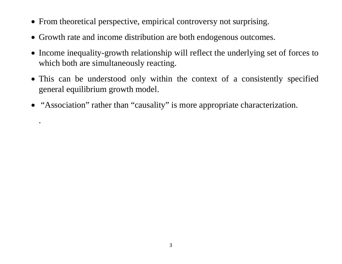- From theoretical perspective, empirical controversy not surprising.
- Growth rate and income distribution are both endogenous outcomes.
- Income inequality-growth relationship will reflect the underlying set of forces to which both are simultaneously reacting.
- This can be understood only within the context of a consistently specified general equilibrium growth model.
- "Association" rather than "causality" is more appropriate characterization.

.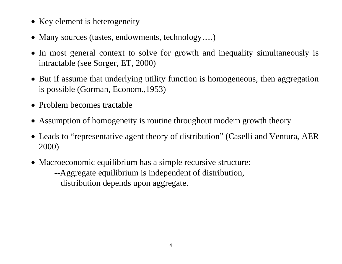- Key element is heterogeneity
- Many sources (tastes, endowments, technology….)
- In most general context to solve for growth and inequality simultaneously is intractable (see Sorger, ET, 2000)
- But if assume that underlying utility function is homogeneous, then aggregation is possible (Gorman, Econom.,1953)
- Problem becomes tractable
- Assumption of homogeneity is routine throughout modern growth theory
- Leads to "representative agent theory of distribution" (Caselli and Ventura, AER 2000)
- Macroeconomic equilibrium has a simple recursive structure: --Aggregate equilibrium is independent of distribution,
	- distribution depends upon aggregate.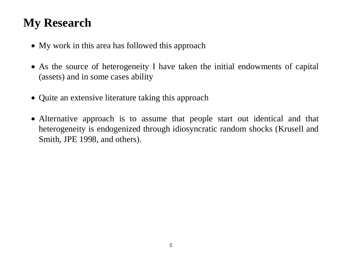# **My Research**

- My work in this area has followed this approach
- As the source of heterogeneity I have taken the initial endowments of capital (assets) and in some cases ability
- Quite an extensive literature taking this approach
- Alternative approach is to assume that people start out identical and that heterogeneity is endogenized through idiosyncratic random shocks (Krusell and Smith, JPE 1998, and others).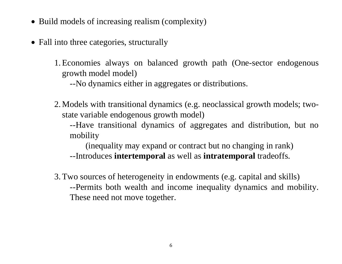- Build models of increasing realism (complexity)
- Fall into three categories, structurally
	- 1.Economies always on balanced growth path (One-sector endogenous growth model model)

--No dynamics either in aggregates or distributions.

2. Models with transitional dynamics (e.g. neoclassical growth models; twostate variable endogenous growth model)

--Have transitional dynamics of aggregates and distribution, but no mobility

(inequality may expand or contract but no changing in rank) --Introduces **intertemporal** as well as **intratemporal** tradeoffs.

3.Two sources of heterogeneity in endowments (e.g. capital and skills) --Permits both wealth and income inequality dynamics and mobility. These need not move together.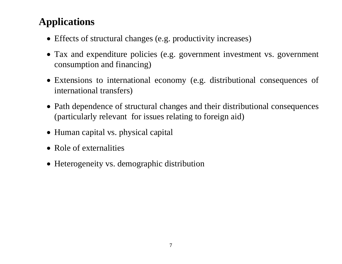# **Applications**

- Effects of structural changes (e.g. productivity increases)
- Tax and expenditure policies (e.g. government investment vs. government consumption and financing)
- Extensions to international economy (e.g. distributional consequences of international transfers)
- Path dependence of structural changes and their distributional consequences (particularly relevant for issues relating to foreign aid)
- Human capital vs. physical capital
- Role of externalities
- Heterogeneity vs. demographic distribution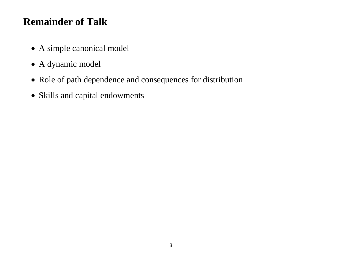## **Remainder of Talk**

- A simple canonical model
- A dynamic model
- Role of path dependence and consequences for distribution
- Skills and capital endowments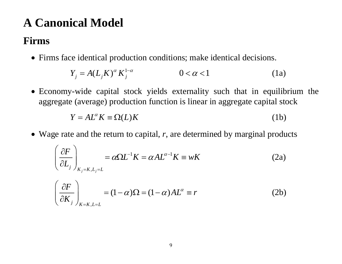# **A Canonical Model**

### **Firms**

Firms face identical production conditions; make identical decisions.

$$
Y_j = A(L_j K)^{\alpha} K_j^{1-\alpha} \qquad \qquad 0 < \alpha < 1 \qquad (1a)
$$

 Economy-wide capital stock yields externality such that in equilibrium the aggregate (average) production function is linear in aggregate capital stock

$$
Y = AL^{\alpha} K \equiv \Omega(L) K \tag{1b}
$$

Wage rate and the return to capital, *<sup>r</sup>*, are determined by marginal products

$$
\left(\frac{\partial F}{\partial L_j}\right)_{K_j=K, L_j=L} = \alpha \Omega L^{-1} K = \alpha A L^{\alpha-1} K \equiv wK
$$
 (2a)

$$
\left(\frac{\partial F}{\partial K_j}\right)_{K=K,L=L} = (1-\alpha)\Omega = (1-\alpha)AL^{\alpha} \equiv r
$$
 (2b)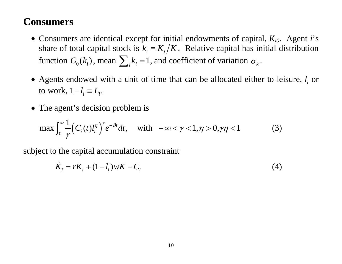### **Consumers**

- Consumers are identical except for initial endowments of capital, *Ki0*. Agent *i*'s share of total capital stock is  $k_i = K_i/K$ . Relative capital has initial distribution function  $G_0(k_i)$ , mean  $\sum_i k_i = 1$ , and coefficient of variation  $\sigma_k$ .
- Agents endowed with a unit of time that can be allocated either to leisure,  $l_i$  or to work,  $1-l_i \equiv L_i$ .
- The agent's decision problem is

$$
\max \int_0^\infty \frac{1}{\gamma} \Big( C_i(t) l_i^\eta \Big)^\gamma e^{-\beta t} dt, \quad \text{with } -\infty < \gamma < 1, \eta > 0, \gamma \eta < 1 \tag{3}
$$

subject to the capital accumulation constraint

$$
\dot{K}_i = rK_i + (1 - l_i)wK - C_i
$$
\n(4)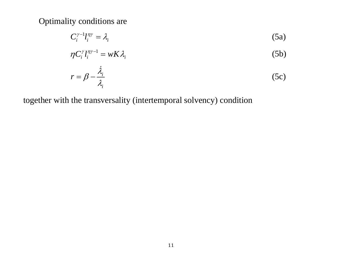Optimality conditions are

$$
C_i^{\gamma-1}l_i^{\eta\gamma} = \lambda_i \tag{5a}
$$

$$
\eta C_i^{\gamma} l_i^{\eta \gamma - 1} = w K \lambda_i \tag{5b}
$$

$$
r = \beta - \frac{\dot{\lambda}_i}{\lambda_i} \tag{5c}
$$

together with the transversality (intertemporal solvency) condition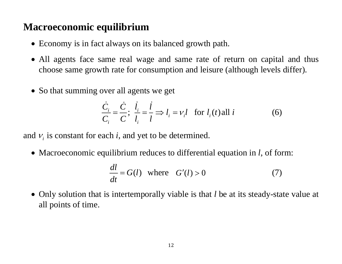### **Macroeconomic equilibrium**

- Economy is in fact always on its balanced growth path.
- All agents face same real wage and same rate of return on capital and thus choose same growth rate for consumption and leisure (although levels differ).
- So that summing over all agents we get

$$
\frac{\dot{C}_i}{C_i} = \frac{\dot{C}}{C}; \ \frac{\dot{l}_i}{l_i} = \frac{\dot{l}}{l} \Rightarrow l_i = v_i l \text{ for } l_i(t) \text{ all } i \tag{6}
$$

and  $v_i$  is constant for each *i*, and yet to be determined.

Macroeconomic equilibrium reduces to differential equation in *l*, of form:

$$
\frac{dl}{dt} = G(l) \quad \text{where} \quad G'(l) > 0 \tag{7}
$$

 Only solution that is intertemporally viable is that *l* be at its steady-state value at all points of time.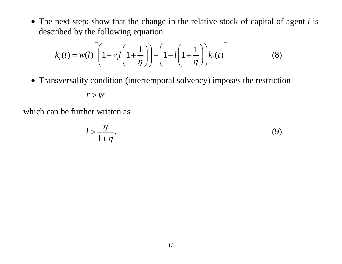The next step: show that the change in the relative stock of capital of agent *i* is described by the following equation

$$
\dot{k}_i(t) = w(l) \left[ \left( 1 - v_i l \left( 1 + \frac{1}{\eta} \right) \right) - \left( 1 - l \left( 1 + \frac{1}{\eta} \right) \right) k_i(t) \right]
$$
(8)

Transversality condition (intertemporal solvency) imposes the restriction

$$
r > \psi
$$

which can be further written as

$$
l > \frac{\eta}{1 + \eta}.\tag{9}
$$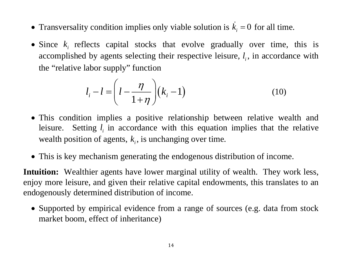- Transversality condition implies only viable solution is  $k_i = 0$  $k = 0$  for all time.
- Since  $k_i$  reflects capital stocks that evolve gradually over time, this is accomplished by agents selecting their respective leisure,  $l_i$ , in accordance with the "relative labor supply" function

$$
l_i - l = \left(l - \frac{\eta}{1 + \eta}\right)(k_i - 1) \tag{10}
$$

- This condition implies a positive relationship between relative wealth and leisure. Setting  $l_i$  in accordance with this equation implies that the relative wealth position of agents,  $k<sub>i</sub>$ , is unchanging over time.
- This is key mechanism generating the endogenous distribution of income.

**Intuition:** Wealthier agents have lower marginal utility of wealth. They work less, enjoy more leisure, and given their relative capital endowments, this translates to an endogenously determined distribution of income.

• Supported by empirical evidence from a range of sources (e.g. data from stock market boom, effect of inheritance)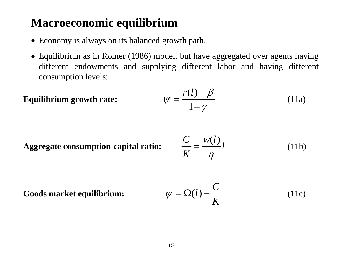# **Macroeconomic equilibrium**

- Economy is always on its balanced growth path.
- Equilibrium as in Romer (1986) model, but have aggregated over agents having different endowments and supplying different labor and having different consumption levels:

Equilibrium growth rate: 
$$
\psi = \frac{r(l) - \beta}{1 - \gamma}
$$
 (11a)

**Aggregate consumption-capital ratio:**

$$
\frac{C}{K} = \frac{w(l)}{\eta}l
$$
 (11b)

**Goods market equilibrium:** 

$$
\psi = \Omega(l) - \frac{C}{K} \tag{11c}
$$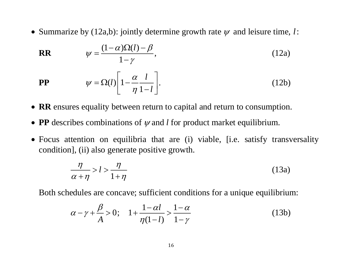• Summarize by  $(12a,b)$ : jointly determine growth rate  $\psi$  and leisure time, *l*:

$$
\mathbf{RR} \qquad \qquad \psi = \frac{(1-\alpha)\Omega(l) - \beta}{1-\gamma}, \tag{12a}
$$

$$
\mathbf{PP} \qquad \qquad \psi = \Omega(l) \left[ 1 - \frac{\alpha}{\eta} \frac{l}{1 - l} \right]. \tag{12b}
$$

- **RR** ensures equality between return to capital and return to consumption.
- **PP** describes combinations of  $\psi$  and *l* for product market equilibrium.
- Focus attention on equilibria that are (i) viable, [i.e. satisfy transversality condition], (ii) also generate positive growth.

$$
\frac{\eta}{\alpha + \eta} > l > \frac{\eta}{1 + \eta} \tag{13a}
$$

Both schedules are concave; sufficient conditions for a unique equilibrium:

$$
\alpha - \gamma + \frac{\beta}{A} > 0;
$$
  $1 + \frac{1 - \alpha l}{\eta(1 - l)} > \frac{1 - \alpha}{1 - \gamma}$  (13b)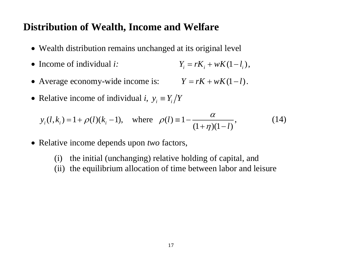### **Distribution of Wealth, Income and Welfare**

- Wealth distribution remains unchanged at its original level
- Income of individual  $i$ : • Income of individual *i*:  $Y_i = rK_i + wK(1 - l_i)$ ,
- Average economy-wide income is:  $Y = rK + wK(1 l)$ .
- Relative income of individual *i*,  $y_i \equiv Y_i/Y$

$$
y_i(l, k_i) = 1 + \rho(l)(k_i - 1)
$$
, where  $\rho(l) = 1 - \frac{\alpha}{(1 + \eta)(1 - l)}$ , (14)

- Relative income depends upon *two* factors,
	- (i) the initial (unchanging) relative holding of capital, and
	- (ii) the equilibrium allocation of time between labor and leisure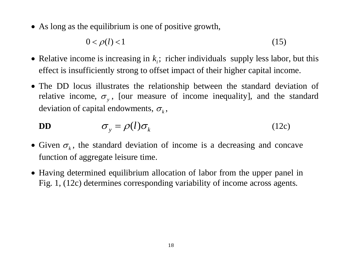• As long as the equilibrium is one of positive growth,

$$
0 < \rho(l) < 1 \tag{15}
$$

- Relative income is increasing in  $k<sub>i</sub>$ ; richer individuals supply less labor, but this effect is insufficiently strong to offset impact of their higher capital income.
- The DD locus illustrates the relationship between the standard deviation of relative income,  $\sigma_{y}$ , [our measure of income inequality], and the standard deviation of capital endowments,  $\sigma_{k}^{\vphantom{\dag}}$  ,

$$
\mathbf{DD} \qquad \qquad \sigma_{y} = \rho(l)\sigma_{k} \qquad (12c)
$$

- Given  $\sigma_k$ , the standard deviation of income is a decreasing and concave function of aggregate leisure time.
- Having determined equilibrium allocation of labor from the upper panel in Fig. 1, (12c) determines corresponding variability of income across agents.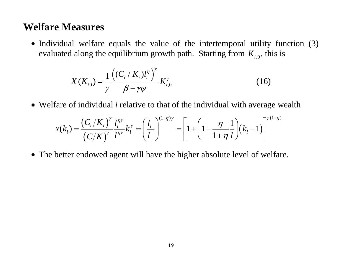### **Welfare Measures**

• Individual welfare equals the value of the intertemporal utility function (3) evaluated along the equilibrium growth path. Starting from  $K_{i,0}$ , this is

$$
X(K_{i0}) = \frac{1}{\gamma} \frac{((C_i/K_i)l_i^{\eta})^{\gamma}}{\beta - \gamma \psi} K_{i,0}^{\gamma}
$$
 (16)

Welfare of individual *i* relative to that of the individual with average wealth

$$
x(k_i) = \frac{(C_i/K_i)^{\gamma}}{(C/K)^{\gamma}} \frac{l_i^{n\gamma}}{l^{n\gamma}} k_i^{\gamma} = \left(\frac{l_i}{l}\right)^{(1+\eta)\gamma} = \left[1 + \left(1 - \frac{\eta}{1+\eta} \frac{1}{l}\right) (k_i - 1)\right]^{\gamma(1+\eta)}
$$

The better endowed agent will have the higher absolute level of welfare.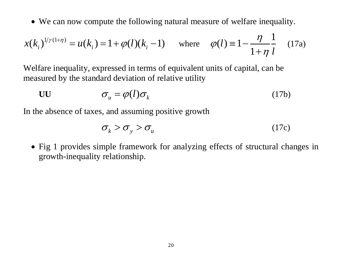We can now compute the following natural measure of welfare inequality.

$$
x(k_i)^{1/\gamma(1+\eta)} = u(k_i) = 1 + \varphi(l)(k_i - 1) \quad \text{where} \quad \varphi(l) \equiv 1 - \frac{\eta}{1 + \eta} \frac{1}{l} \quad (17a)
$$

Welfare inequality, expressed in terms of equivalent units of capital, can be measured by the standard deviation of relative utility

$$
\sigma_{u} = \varphi(l)\sigma_{k} \tag{17b}
$$

In the absence of taxes, and assuming positive growth

$$
\sigma_{k} > \sigma_{y} > \sigma_{u} \tag{17c}
$$

 Fig 1 provides simple framework for analyzing effects of structural changes in growth-inequality relationship.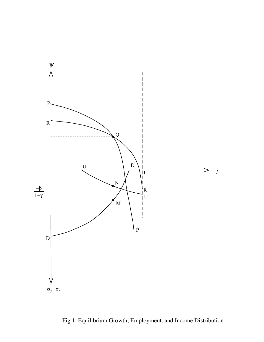

Fig 1: Equilibrium Growth, Employment, and Income Distribution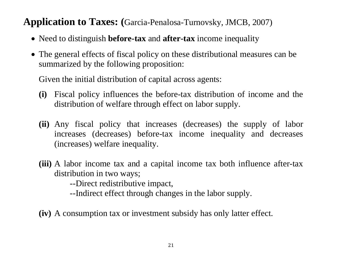### **Application to Taxes: (**Garcia-Penalosa-Turnovsky, JMCB, 2007)

- Need to distinguish **before-tax** and **after-tax** income inequality
- The general effects of fiscal policy on these distributional measures can be summarized by the following proposition:

Given the initial distribution of capital across agents:

- **(i)** Fiscal policy influences the before-tax distribution of income and the distribution of welfare through effect on labor supply.
- **(ii)** Any fiscal policy that increases (decreases) the supply of labor increases (decreases) before-tax income inequality and decreases (increases) welfare inequality.
- **(iii)** A labor income tax and a capital income tax both influence after-tax distribution in two ways;

--Direct redistributive impact,

--Indirect effect through changes in the labor supply.

**(iv)** A consumption tax or investment subsidy has only latter effect.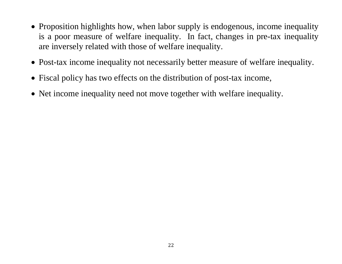- Proposition highlights how, when labor supply is endogenous, income inequality is a poor measure of welfare inequality. In fact, changes in pre-tax inequality are inversely related with those of welfare inequality.
- Post-tax income inequality not necessarily better measure of welfare inequality.
- Fiscal policy has two effects on the distribution of post-tax income,
- Net income inequality need not move together with welfare inequality.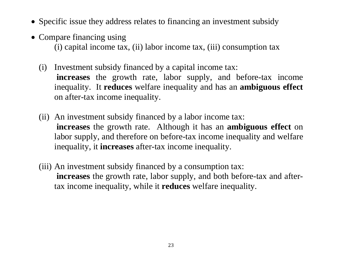- Specific issue they address relates to financing an investment subsidy
- Compare financing using (i) capital income tax, (ii) labor income tax, (iii) consumption tax
	- (i) Investment subsidy financed by a capital income tax: **increases** the growth rate, labor supply, and before-tax income inequality. It **reduces** welfare inequality and has an **ambiguous effect** on after-tax income inequality.
	- (ii) An investment subsidy financed by a labor income tax: **increases** the growth rate. Although it has an **ambiguous effect** on labor supply, and therefore on before-tax income inequality and welfare inequality, it **increases** after-tax income inequality.
	- (iii) An investment subsidy financed by a consumption tax: **increases** the growth rate, labor supply, and both before-tax and aftertax income inequality, while it **reduces** welfare inequality.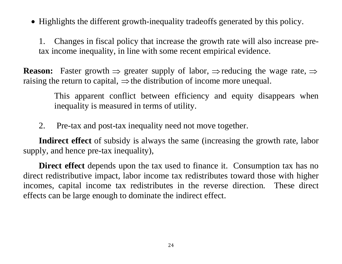Highlights the different growth-inequality tradeoffs generated by this policy.

1. Changes in fiscal policy that increase the growth rate will also increase pretax income inequality, in line with some recent empirical evidence.

**Reason:** Faster growth  $\Rightarrow$  greater supply of labor,  $\Rightarrow$  reducing the wage rate,  $\Rightarrow$ raising the return to capital,  $\Rightarrow$  the distribution of income more unequal.

> This apparent conflict between efficiency and equity disappears when inequality is measured in terms of utility.

2. Pre-tax and post-tax inequality need not move together.

**Indirect effect** of subsidy is always the same (increasing the growth rate, labor supply, and hence pre-tax inequality),

**Direct effect** depends upon the tax used to finance it. Consumption tax has no direct redistributive impact, labor income tax redistributes toward those with higher incomes, capital income tax redistributes in the reverse direction. These direct effects can be large enough to dominate the indirect effect.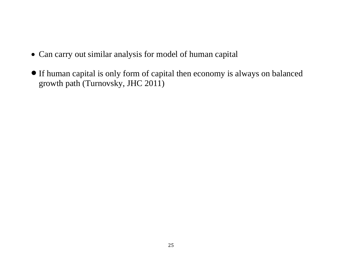- Can carry out similar analysis for model of human capital
- If human capital is only form of capital then economy is always on balanced growth path (Turnovsky, JHC 2011)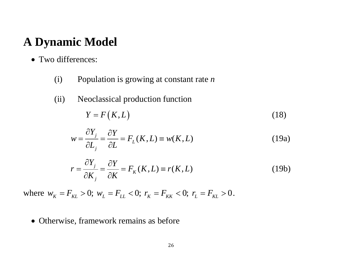# **A Dynamic Model**

- Two differences:
	- (i) Population is growing at constant rate *<sup>n</sup>*
	- (ii) Neoclassical production function

$$
Y = F(K, L) \tag{18}
$$

$$
w = \frac{\partial Y_j}{\partial L_j} = \frac{\partial Y}{\partial L} = F_L(K, L) \equiv w(K, L)
$$
 (19a)

$$
r = \frac{\partial Y_j}{\partial K_j} = \frac{\partial Y}{\partial K} = F_K(K, L) \equiv r(K, L)
$$
 (19b)

where  $w_K = F_{KL} > 0$ ;  $w_L = F_{LL} < 0$ ;  $r_K = F_{KK} < 0$ ;  $r_L = F_{KL} > 0$ .

• Otherwise, framework remains as before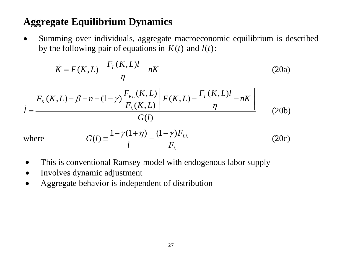# **Aggregate Equilibrium Dynamics**

 $\bullet$  Summing over individuals, aggregate macroeconomic equilibrium is described by the following pair of equations in  $K(t)$  and  $l(t)$ :

$$
\dot{K} = F(K, L) - \frac{F_L(K, L)l}{\eta} - nK
$$
\n(20a)\n
$$
\dot{I} = \frac{F_K(K, L) - \beta - n - (1 - \gamma) \frac{F_{KL}(K, L)}{F_L(K, L)} \left[ F(K, L) - \frac{F_L(K, L)l}{\eta} - nK \right]}{G(l)}
$$
\n(20b)

where 
$$
G(l) = \frac{1 - \gamma(1 + \eta)}{l} - \frac{(1 - \gamma)F_{LL}}{F_L}
$$
 (20c)

- 0 This is conventional Ramsey model with endogenous labor supply
- 0 Involves dynamic adjustment
- 0 Aggregate behavior is independent of distribution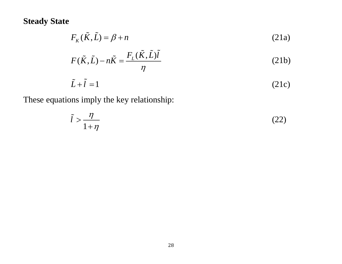#### **Steady State**

$$
F_K(\tilde{K}, \tilde{L}) = \beta + n
$$
\n(21a)  
\n
$$
F(\tilde{K}, \tilde{L}) - n\tilde{K} = \frac{F_L(\tilde{K}, \tilde{L})\tilde{l}}{\eta}
$$
\n(21b)  
\n
$$
\tilde{L} + \tilde{l} = 1
$$
\n(21c)

These equations imply the key relationship:

$$
\tilde{l} > \frac{\eta}{1 + \eta} \tag{22}
$$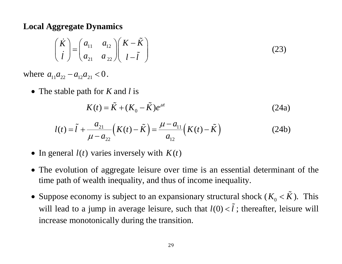#### **Local Aggregate Dynamics**

$$
\begin{pmatrix}\n\dot{K} \\
\dot{l}\n\end{pmatrix} = \begin{pmatrix}\na_{11} & a_{12} \\
a_{21} & a_{22}\n\end{pmatrix} \begin{pmatrix}\nK - \tilde{K} \\
l - \tilde{l}\n\end{pmatrix}
$$
\n(23)

where  $a_{11} a_{22} - a_{12} a_{21} < 0$ .

The stable path for *K* and *l* is

$$
K(t) = \tilde{K} + (K_0 - \tilde{K})e^{\mu t}
$$
 (24a)

$$
l(t) = \tilde{l} + \frac{a_{21}}{\mu - a_{22}} \left( K(t) - \tilde{K} \right) = \frac{\mu - a_{11}}{a_{12}} \left( K(t) - \tilde{K} \right)
$$
 (24b)

- In general  $l(t)$  varies inversely with  $K(t)$
- The evolution of aggregate leisure over time is an essential determinant of the time path of wealth inequality, and thus of income inequality.
- Suppose economy is subject to an expansionary structural shock ( $K_0 < \tilde{K}$ ) ). This will lead to a jump in average leisure, such that  $l(0) < \tilde{l}$ l; thereafter, leisure will increase monotonically during the transition.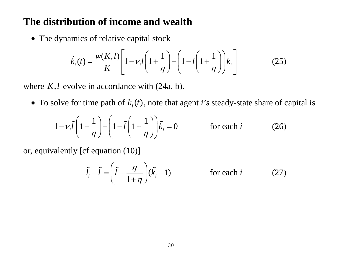#### **The distribution of income and wealth**

• The dynamics of relative capital stock

$$
\dot{k}_i(t) = \frac{w(K,l)}{K} \left[ 1 - v_i l \left( 1 + \frac{1}{\eta} \right) - \left( 1 - l \left( 1 + \frac{1}{\eta} \right) \right) k_i \right]
$$
(25)

where  $K, l$  evolve in accordance with  $(24a, b)$ .

• To solve for time path of  $k_i(t)$ , note that agent *i*'s steady-state share of capital is

$$
1 - v_i \tilde{l} \left( 1 + \frac{1}{\eta} \right) - \left( 1 - \tilde{l} \left( 1 + \frac{1}{\eta} \right) \right) \tilde{k}_i = 0 \qquad \text{for each } i \qquad (26)
$$

or, equivalently [cf equation (10)]

$$
\tilde{l}_i - \tilde{l} = \left(\tilde{l} - \frac{\eta}{1 + \eta}\right)(\tilde{k}_i - 1) \qquad \text{for each } i \qquad (27)
$$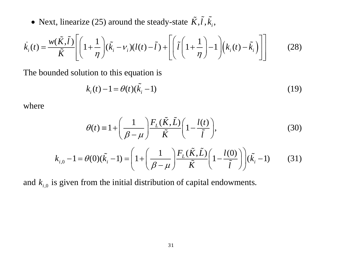• Next, linearize (25) around the steady-state  $\tilde{K}$ ,  $\tilde{l}$ ,  $\tilde{k}_i$ ,

$$
\dot{k}_i(t) = \frac{w(\tilde{K},\tilde{l})}{\tilde{K}} \left[ \left( 1 + \frac{1}{\eta} \right) (\tilde{k}_i - v_i)(l(t) - \tilde{l}) + \left[ \left( \tilde{l} \left( 1 + \frac{1}{\eta} \right) - 1 \right) \left( k_i(t) - \tilde{k}_i \right) \right] \right]
$$
(28)

The bounded solution to this equation is

$$
k_i(t) - 1 = \theta(t)(\tilde{k}_i - 1)
$$
 (19)

where

$$
\theta(t) \equiv 1 + \left(\frac{1}{\beta - \mu}\right) \frac{F_L(\tilde{K}, \tilde{L})}{\tilde{K}} \left(1 - \frac{l(t)}{\tilde{l}}\right),\tag{30}
$$

$$
k_{i,0} - 1 = \theta(0)(\tilde{k}_i - 1) = \left(1 + \left(\frac{1}{\beta - \mu}\right) \frac{F_L(\tilde{K}, \tilde{L})}{\tilde{K}} \left(1 - \frac{l(0)}{\tilde{l}}\right)\right) (\tilde{k}_i - 1) \tag{31}
$$

and  $k_{i,0}$  is given from the initial distribution of capital endowments.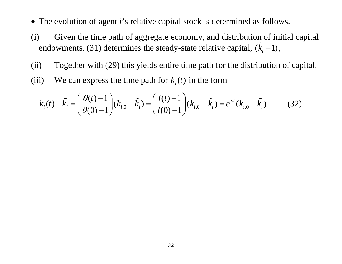- The evolution of agent *i*'s relative capital stock is determined as follows.
- (i) Given the time path of aggregate economy, and distribution of initial capital endowments, (31) determines the steady-state relative capital,  $(\tilde{k}_{i} - 1)$  $\mathfrak{c}_i = 1$ ,
- (ii) Together with (29) this yields entire time path for the distribution of capital.
- (iii) We can express the time path for  $k_i(t)$  in the form

$$
k_i(t) - \tilde{k}_i = \left(\frac{\theta(t) - 1}{\theta(0) - 1}\right)(k_{i,0} - \tilde{k}_i) = \left(\frac{l(t) - 1}{l(0) - 1}\right)(k_{i,0} - \tilde{k}_i) = e^{\mu t}(k_{i,0} - \tilde{k}_i)
$$
(32)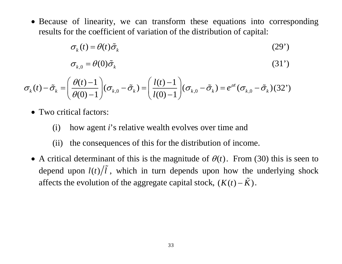Because of linearity, we can transform these equations into corresponding results for the coefficient of variation of the distribution of capital:

$$
\sigma_k(t) = \theta(t)\tilde{\sigma}_k \tag{29'}
$$

$$
\sigma_{k,0} = \theta(0)\tilde{\sigma}_k \tag{31'}
$$

$$
\sigma_k(t) - \tilde{\sigma}_k = \left(\frac{\theta(t) - 1}{\theta(0) - 1}\right) (\sigma_{k,0} - \tilde{\sigma}_k) = \left(\frac{l(t) - 1}{l(0) - 1}\right) (\sigma_{k,0} - \tilde{\sigma}_k) = e^{\mu t} (\sigma_{k,0} - \tilde{\sigma}_k) (32')
$$

- Two critical factors:
	- (i) how agent *i*'s relative wealth evolves over time and
	- (ii) the consequences of this for the distribution of income.
- A critical determinant of this is the magnitude of  $\theta(t)$ . From (30) this is seen to depend upon  $l(t)/l$ , which in turn depends upon how the underlying shock affects the evolution of the aggregate capital stock,  $(K(t) - \tilde{K})$ .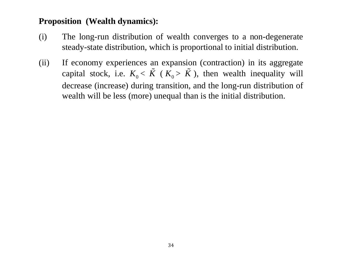#### **Proposition (Wealth dynamics):**

- (i) The long-run distribution of wealth converges to a non-degenerate steady-state distribution, which is proportional to initial distribution.
- (ii) If economy experiences an expansion (contraction) in its aggregate capital stock, i.e.  $K_0 < \tilde{K}$  $(K_0 > \tilde{K})$ ), then wealth inequality will decrease (increase) during transition, and the long-run distribution of wealth will be less (more) unequal than is the initial distribution.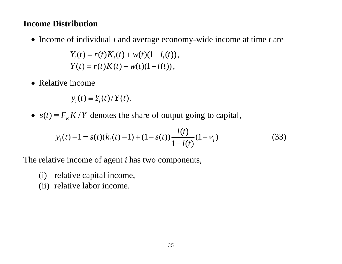#### **Income Distribution**

• Income of individual *i* and average economy-wide income at time *t* are

 $Y_i(t) = r(t)K_i(t) + w(t)(1 - l_i(t)),$  $Y(t) = r(t)K(t) + w(t)(1 - l(t)),$ 

• Relative income

 $y_i(t) \equiv Y_i(t) / Y(t)$ .

•  $s(t) = F_K K/Y$  denotes the share of output going to capital,

$$
y_i(t) - 1 = s(t)(k_i(t) - 1) + (1 - s(t))\frac{l(t)}{1 - l(t)}(1 - v_i)
$$
\n(33)

The relative income of agent *i* has two components,

- (i) relative capital income,
- (ii) relative labor income.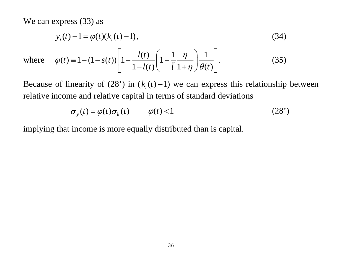We can express  $(33)$  as

$$
y_i(t) - 1 = \varphi(t)(k_i(t) - 1),
$$
\n(34)

where 
$$
\varphi(t) = 1 - (1 - s(t)) \left[ 1 + \frac{l(t)}{1 - l(t)} \left( 1 - \frac{1}{\tilde{l}} \frac{\eta}{1 + \eta} \right) \frac{1}{\theta(t)} \right].
$$
 (35)

Because of linearity of (28') in  $(k<sub>i</sub>(t) - 1)$  we can express this relationship between relative income and relative capital in terms of standard deviations

$$
\sigma_y(t) = \varphi(t)\sigma_k(t) \qquad \varphi(t) < 1 \tag{28'}
$$

implying that income is more equally distributed than is capital.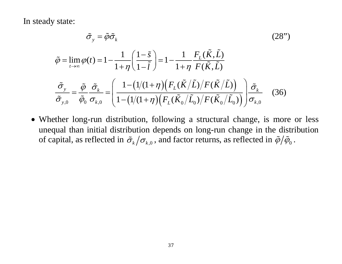In steady state:

$$
\tilde{\sigma}_{y} = \tilde{\varphi}\tilde{\sigma}_{k}
$$
\n
$$
\tilde{\varphi} = \lim_{t \to \infty} \varphi(t) = 1 - \frac{1}{1 + \eta} \left( \frac{1 - \tilde{s}}{1 - \tilde{l}} \right) = 1 - \frac{1}{1 + \eta} \frac{F_{L}(\tilde{K}, \tilde{L})}{F(\tilde{K}, \tilde{L})}
$$
\n
$$
\frac{\tilde{\sigma}_{y}}{\tilde{\sigma}_{y,0}} = \frac{\tilde{\varphi}}{\tilde{\varphi}_{0}} \frac{\tilde{\sigma}_{k}}{\sigma_{k,0}} = \left( \frac{1 - (1/(1 + \eta)) \left( F_{L}(\tilde{K}/\tilde{L}) / F(\tilde{K}/\tilde{L}) \right)}{1 - (1/(1 + \eta)) \left( F_{L}(\tilde{K}_{0}/\tilde{L}_{0}) / F(\tilde{K}_{0}/\tilde{L}_{0}) \right)} \right) \tilde{\sigma}_{k}
$$
\n(36)

 Whether long-run distribution, following a structural change, is more or less unequal than initial distribution depends on long-run change in the distribution of capital, as reflected in  $\tilde{\sigma}_k/\sigma_{k,0}$  , and factor returns, as reflected in  $\tilde{\phi}/\tilde{\phi}_0$  .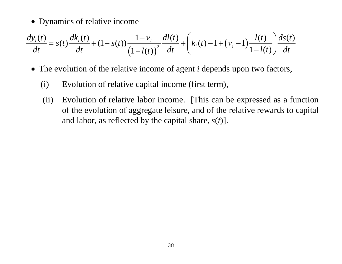• Dynamics of relative income

$$
\frac{dy_i(t)}{dt} = s(t)\frac{dk_i(t)}{dt} + (1 - s(t))\frac{1 - v_i}{(1 - l(t))^{2}}\frac{dl(t)}{dt} + \left(k_i(t) - 1 + (v_i - 1)\frac{l(t)}{1 - l(t)}\right)\frac{ds(t)}{dt}
$$

- The evolution of the relative income of agent *i* depends upon two factors,
	- (i) Evolution of relative capital income (first term),
	- (ii) Evolution of relative labor income. [This can be expressed as a function of the evolution of aggregate leisure, and of the relative rewards to capital and labor, as reflected by the capital share, *s*(*t*)].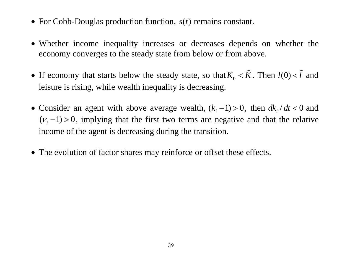- For Cobb-Douglas production function,  $s(t)$  remains constant.
- Whether income inequality increases or decreases depends on whether the economy converges to the steady state from below or from above.
- If economy that starts below the steady state, so that  $K_0 < \tilde{K}$  $\tilde{K}$ . Then  $l(0) < \tilde{l}$  and leisure is rising, while wealth inequality is decreasing.
- Consider an agent with above average wealth,  $(k_i 1) > 0$ , then  $dk_i / dt < 0$  and  $(v_i - 1) > 0$ , implying that the first two terms are negative and that the relative income of the agent is decreasing during the transition.
- The evolution of factor shares may reinforce or offset these effects.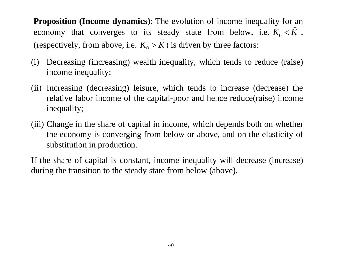**Proposition (Income dynamics):** The evolution of income inequality for an economy that converges to its steady state from below, i.e.  $K_0 < \tilde{K}$  $\mathbf{v}$ , (respectively, from above, i.e.  $K_0 > \tilde{K}$ ) is driven by three factors:

- (i) Decreasing (increasing) wealth inequality, which tends to reduce (raise) income inequality;
- (ii) Increasing (decreasing) leisure, which tends to increase (decrease) the relative labor income of the capital-poor and hence reduce(raise) income inequality;
- (iii) Change in the share of capital in income, which depends both on whether the economy is converging from below or above, and on the elasticity of substitution in production.

If the share of capital is constant, income inequality will decrease (increase) during the transition to the steady state from below (above).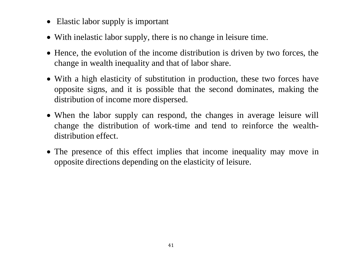- Elastic labor supply is important
- With inelastic labor supply, there is no change in leisure time.
- Hence, the evolution of the income distribution is driven by two forces, the change in wealth inequality and that of labor share.
- With a high elasticity of substitution in production, these two forces have opposite signs, and it is possible that the second dominates, making the distribution of income more dispersed.
- When the labor supply can respond, the changes in average leisure will change the distribution of work-time and tend to reinforce the wealthdistribution effect.
- The presence of this effect implies that income inequality may move in opposite directions depending on the elasticity of leisure.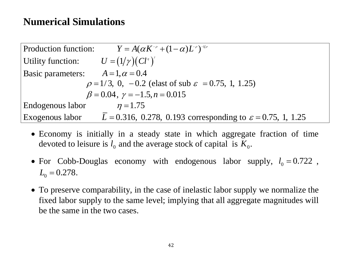## **Numerical Simulations**

| <b>Production function:</b>                                          | $Y = A(\alpha K^{-\rho} + (1 - \alpha)L^{-\rho})^{-1/\rho}$              |
|----------------------------------------------------------------------|--------------------------------------------------------------------------|
| Utility function: $U = (1/\gamma)(Cl^{\eta})^{\gamma}$               |                                                                          |
| Basic parameters:                                                    | $A = 1, \alpha = 0.4$                                                    |
| $\rho = 1/3$ , 0, -0.2 (elast of sub $\varepsilon = 0.75$ , 1, 1.25) |                                                                          |
| $\beta = 0.04$ , $\gamma = -1.5$ , $n = 0.015$                       |                                                                          |
| Endogenous labor                                                     | $\eta = 1.75$                                                            |
| Exogenous labor                                                      | $L = 0.316, 0.278, 0.193$ corresponding to $\varepsilon = 0.75, 1, 1.25$ |

- Economy is initially in a steady state in which aggregate fraction of time devoted to leisure is  $l_0$  and the average stock of capital is  $K_0$ .
- For Cobb-Douglas economy with endogenous labor supply,  $l_0 = 0.722$ ,  $L_0 = 0.278$ .
- To preserve comparability, in the case of inelastic labor supply we normalize the fixed labor supply to the same level; implying that all aggregate magnitudes will be the same in the two cases.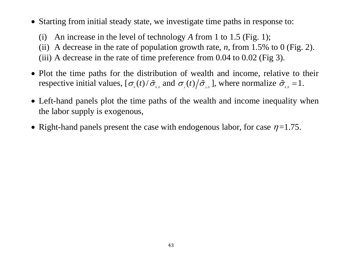Starting from initial steady state, we investigate time paths in response to:

(i) An increase in the level of technology *A* from 1 to 1.5 (Fig. 1); (ii) A decrease in the rate of population growth rate,  $n$ , from 1.5% to 0 (Fig. 2). (iii) A decrease in the rate of time preference from  $0.04$  to  $0.02$  (Fig 3).

- Plot the time paths for the distribution of wealth and income, relative to their respective initial values,  $[\sigma_{k}(t)/\tilde{\sigma}_{k}$  and  $\sigma_{k}(t)/\tilde{\sigma}_{k}$ , where normalize  $\tilde{\sigma}_{k,0} = 1$ .
- Left-hand panels plot the time paths of the wealth and income inequality when the labor supply is exogenous,
- Right-hand panels present the case with endogenous labor, for case  $\eta$ =1.75.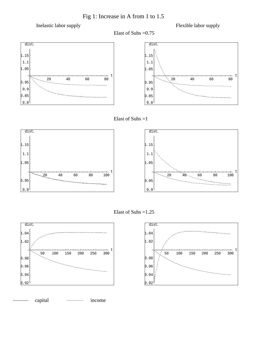Fig 1: Increase in A from 1 to 1.5

Inelastic labor supply

Elast of Subs =0.75

Flexible labor supply









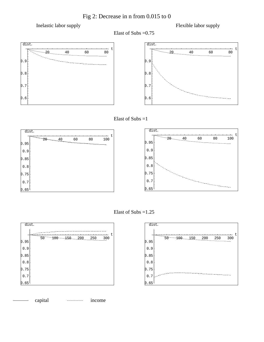Fig 2: Decrease in n from 0.015 to 0

Inelastic labor supply

Elast of Subs =0.75

Flexible labor supply

t









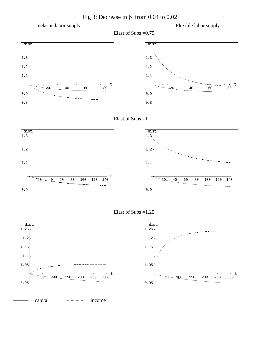Fig 3: Decrease in β from 0.04 to 0.02

Inelastic labor supply

Elast of Subs =0.75

Flexible labor supply

t









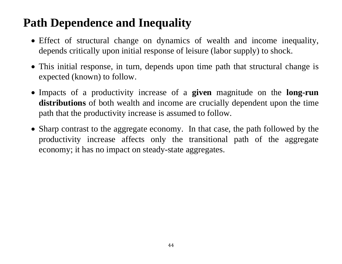# **Path Dependence and Inequality**

- Effect of structural change on dynamics of wealth and income inequality, depends critically upon initial response of leisure (labor supply) to shock.
- This initial response, in turn, depends upon time path that structural change is expected (known) to follow.
- Impacts of a productivity increase of a **given** magnitude on the **long-run distributions** of both wealth and income are crucially dependent upon the time path that the productivity increase is assumed to follow.
- Sharp contrast to the aggregate economy. In that case, the path followed by the productivity increase affects only the transitional path of the aggregate economy; it has no impact on steady-state aggregates.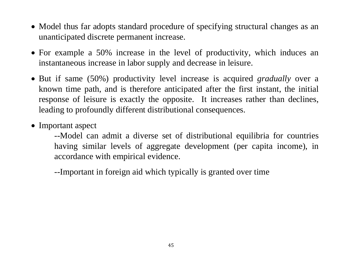- Model thus far adopts standard procedure of specifying structural changes as an unanticipated discrete permanent increase.
- For example a 50% increase in the level of productivity, which induces an instantaneous increase in labor supply and decrease in leisure.
- But if same (50%) productivity level increase is acquired *gradually* over a known time path, and is therefore anticipated after the first instant, the initial response of leisure is exactly the opposite. It increases rather than declines, leading to profoundly different distributional consequences.
- Important aspect
	- --Model can admit a diverse set of distributional equilibria for countries having similar levels of aggregate development (per capita income), in accordance with empirical evidence.

--Important in foreign aid which typically is granted over time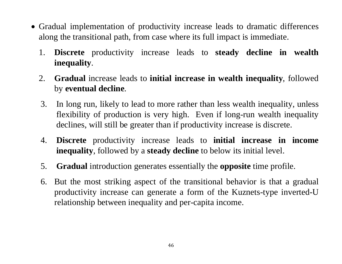- Gradual implementation of productivity increase leads to dramatic differences along the transitional path, from case where its full impact is immediate.
	- 1. **Discrete** productivity increase leads to **steady decline in wealth inequality**.
	- 2. **Gradual** increase leads to **initial increase in wealth inequality**, followed by **eventual decline**.
	- 3. In long run, likely to lead to more rather than less wealth inequality, unless flexibility of production is very high. Even if long-run wealth inequality declines, will still be greater than if productivity increase is discrete.
	- 4. **Discrete** productivity increase leads to **initial increase in income inequality**, followed by a **steady decline** to below its initial level.
	- 5. **Gradual** introduction generates essentially the **opposite** time profile.
	- 6. But the most striking aspect of the transitional behavior is that a gradual productivity increase can generate a form of the Kuznets-type inverted-U relationship between inequality and per-capita income.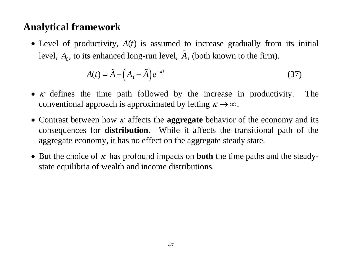## **Analytical framework**

• Level of productivity,  $A(t)$  is assumed to increase gradually from its initial level,  $A_0^{}$ , to its enhanced long-run level,  $\tilde{A}$ , (both known to the firm).

$$
A(t) = \tilde{A} + \left(A_0 - \tilde{A}\right)e^{-\kappa t} \tag{37}
$$

- $\kappa$  defines the time path followed by the increase in productivity. The conventional approach is approximated by letting  $\kappa \rightarrow \infty$ .
- Contrast between how  $\kappa$  affects the **aggregate** behavior of the economy and its consequences for **distribution**. While it affects the transitional path of the aggregate economy, it has no effect on the aggregate steady state.
- But the choice of  $\kappa$  has profound impacts on **both** the time paths and the steadystate equilibria of wealth and income distributions.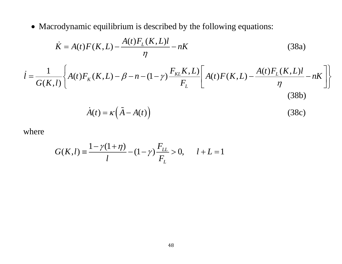Macrodynamic equilibrium is described by the following equations:

$$
\dot{K} = A(t)F(K, L) - \frac{A(t)F_L(K, L)l}{\eta} - nK
$$
\n(38a)

$$
\dot{l} = \frac{1}{G(K,l)} \left\{ A(t) F_K(K,L) - \beta - n - (1-\gamma) \frac{F_{KL}(K,L)}{F_L} \left[ A(t) F(K,L) - \frac{A(t) F_L(K,L) l}{\eta} - nK \right] \right\}
$$
(38b)

$$
\dot{A}(t) = \kappa \left( \tilde{A} - A(t) \right) \tag{38c}
$$

where

$$
G(K,l) = \frac{1 - \gamma(1 + \eta)}{l} - (1 - \gamma) \frac{F_{LL}}{F_L} > 0, \qquad l + L = 1
$$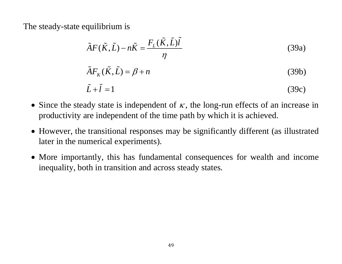The steady-state equilibrium is

$$
\tilde{A}F(\tilde{K},\tilde{L}) - n\tilde{K} = \frac{F_L(\tilde{K},\tilde{L})\tilde{L}}{\eta}
$$
\n(39a)

$$
\tilde{A}F_K(\tilde{K}, \tilde{L}) = \beta + n \tag{39b}
$$

$$
\tilde{L} + \tilde{l} = 1 \tag{39c}
$$

- Since the steady state is independent of  $\kappa$ , the long-run effects of an increase in productivity are independent of the time path by which it is achieved.
- However, the transitional responses may be significantly different (as illustrated later in the numerical experiments).
- More importantly, this has fundamental consequences for wealth and income inequality, both in transition and across steady states.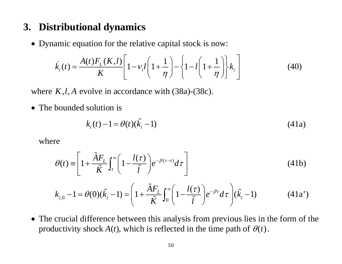## **3. Distributional dynamics**

• Dynamic equation for the relative capital stock is now:

$$
\dot{k}_i(t) = \frac{A(t)F_L(K,l)}{K} \left[ 1 - v_i l \left( 1 + \frac{1}{\eta} \right) - \left\{ 1 - l \left( 1 + \frac{1}{\eta} \right) \right\} k_i \right]
$$
(40)

where  $K, l, A$  evolve in accordance with  $(38a)-(38c)$ .

• The bounded solution is

$$
k_i(t) - 1 = \theta(t)(\tilde{k}_i - 1)
$$
 (41a)

where

$$
\theta(t) \equiv \left[1 + \frac{\tilde{A}F_L}{\tilde{K}} \int_t^{\infty} \left(1 - \frac{l(\tau)}{\tilde{l}}\right) e^{-\beta(\tau - t)} d\tau\right]
$$
(41b)

$$
k_{i,0} - 1 = \theta(0)(\tilde{k}_i - 1) = \left(1 + \frac{\tilde{A}F_L}{\tilde{K}} \int_0^{\infty} \left(1 - \frac{l(\tau)}{\tilde{l}}\right) e^{-\beta \tau} d\tau\right) (\tilde{k}_i - 1)
$$
(41a')

 The crucial difference between this analysis from previous lies in the form of the productivity shock  $A(t)$ , which is reflected in the time path of  $\theta(t)$ .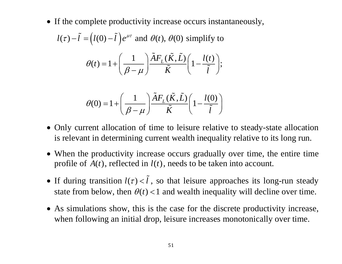• If the complete productivity increase occurs instantaneously,

$$
l(\tau) - \tilde{l} = (l(0) - \tilde{l})e^{\mu\tau} \text{ and } \theta(t), \theta(0) \text{ simplify to}
$$

$$
\theta(t) = 1 + \left(\frac{1}{\beta - \mu}\right) \frac{\tilde{A}F_L(\tilde{K}, \tilde{L})}{\tilde{K}} \left(1 - \frac{l(t)}{\tilde{l}}\right);
$$

$$
\theta(0) = 1 + \left(\frac{1}{\beta - \mu}\right) \frac{\tilde{A}F_L(\tilde{K}, \tilde{L})}{\tilde{K}} \left(1 - \frac{l(0)}{\tilde{l}}\right)
$$

- Only current allocation of time to leisure relative to steady-state allocation is relevant in determining current wealth inequality relative to its long run.
- When the productivity increase occurs gradually over time, the entire time profile of  $A(t)$ , reflected in  $l(t)$ , needs to be taken into account.
- If during transition  $l(\tau) < \tilde{l}$ , so that leisure approaches its long-run steady state from below, then  $\theta(t)$  < 1 and wealth inequality will decline over time.
- As simulations show, this is the case for the discrete productivity increase, when following an initial drop, leisure increases monotonically over time.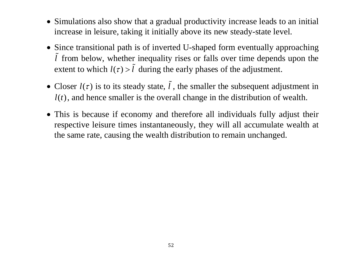- Simulations also show that a gradual productivity increase leads to an initial increase in leisure, taking it initially above its new steady-state level.
- Since transitional path is of inverted U-shaped form eventually approaching *l* ~ from below, whether inequality rises or falls over time depends upon the extent to which  $l(\tau) > \tilde{l}$ during the early phases of the adjustment.
- Closer  $l(\tau)$  is to its steady state,  $\tilde{l}$ , the smaller the subsequent adjustment in  $l(t)$ , and hence smaller is the overall change in the distribution of wealth.
- This is because if economy and therefore all individuals fully adjust their respective leisure times instantaneously, they will all accumulate wealth at the same rate, causing the wealth distribution to remain unchanged.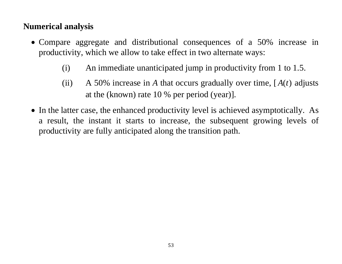### **Numerical analysis**

- Compare aggregate and distributional consequences of a 50% increase in productivity, which we allow to take effect in two alternate ways:
	- (i) An immediate unanticipated jump in productivity from 1 to 1.5.
	- (ii) A 50% increase in A that occurs gradually over time,  $[A(t)]$  adjusts at the (known) rate 10 % per period (year)].
- In the latter case, the enhanced productivity level is achieved asymptotically. As a result, the instant it starts to increase, the subsequent growing levels of productivity are fully anticipated along the transition path.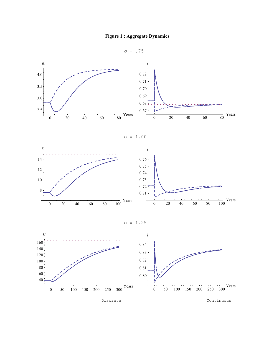





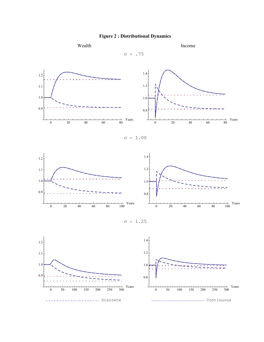



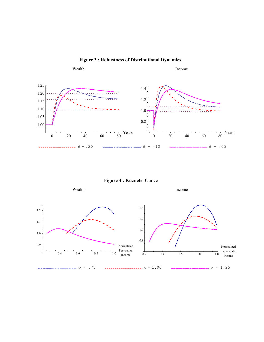

**Figure 4 : Kuznets' Curve**

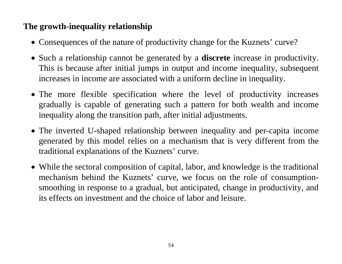### **The growth-inequality relationship**

- Consequences of the nature of productivity change for the Kuznets' curve?
- Such a relationship cannot be generated by a **discrete** increase in productivity. This is because after initial jumps in output and income inequality, subsequent increases in income are associated with a uniform decline in inequality.
- The more flexible specification where the level of productivity increases gradually is capable of generating such a pattern for both wealth and income inequality along the transition path, after initial adjustments.
- The inverted U-shaped relationship between inequality and per-capita income generated by this model relies on a mechanism that is very different from the traditional explanations of the Kuznets' curve.
- While the sectoral composition of capital, labor, and knowledge is the traditional mechanism behind the Kuznets' curve, we focus on the role of consumptionsmoothing in response to a gradual, but anticipated, change in productivity, and its effects on investment and the choice of labor and leisure.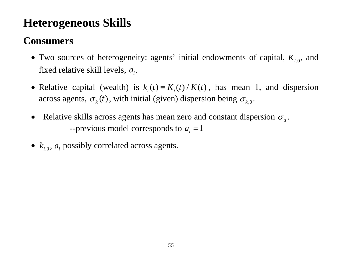# **Heterogeneous Skills**

## **Consumers**

- $\bullet$  Two sources of heterogeneity: agents' initial endowments of capital,  $K_{i,0}$ , and fixed relative skill levels,  $a_i$ .
- Relative capital (wealth) is  $k_i(t) = K_i(t) / K(t)$ , has mean 1, and dispersion across agents,  $\sigma_{k}(t)$ , with initial (given) dispersion being  $\sigma_{k,0}$ .
- Relative skills across agents has mean zero and constant dispersion  $\sigma_a$ . --previous model corresponds to  $a_i = 1$
- $k_{i,0}$ ,  $a_i$  possibly correlated across agents.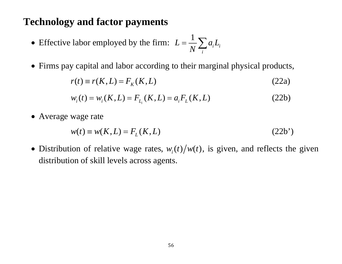### **Technology and factor payments**

- Effective labor employed by the firm:  $L = \frac{1}{N} \sum_{i} a_i L_i$  $L = \frac{1}{2}$   $aL$ *N*  $\equiv$  $=\frac{1}{\lambda I}\sum$
- Firms pay capital and labor according to their marginal physical products,

$$
r(t) \equiv r(K, L) = F_K(K, L) \tag{22a}
$$

$$
w_i(t) = w_i(K, L) = F_{L_i}(K, L) = a_i F_L(K, L)
$$
\n(22b)

• Average wage rate

$$
w(t) \equiv w(K, L) = FL(K, L)
$$
\n(22b')

• Distribution of relative wage rates,  $w_i(t) / w(t)$ , is given, and reflects the given distribution of skill levels across agents.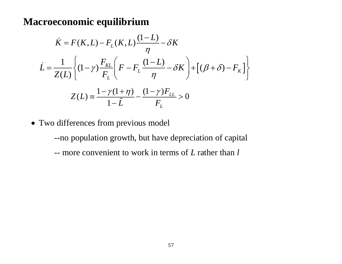### **Macroeconomic equilibrium**

$$
\dot{K} = F(K, L) - F_L(K, L) \frac{(1 - L)}{\eta} - \delta K
$$
\n
$$
\dot{L} = \frac{1}{Z(L)} \left\{ (1 - \gamma) \frac{F_{KL}}{F_L} \left( F - F_L \frac{(1 - L)}{\eta} - \delta K \right) + \left[ (\beta + \delta) - F_K \right] \right\}
$$
\n
$$
Z(L) = \frac{1 - \gamma (1 + \eta)}{1 - \tilde{L}} - \frac{(1 - \gamma)F_{LL}}{F_L} > 0
$$

• Two differences from previous model

--no population growth, but have depreciation of capital -- more convenient to work in terms of *L* rather than *l*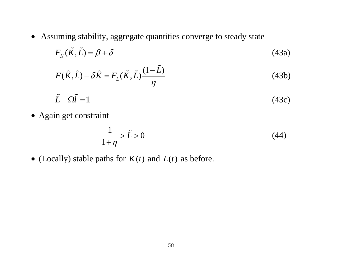Assuming stability, aggregate quantities converge to steady state

$$
F_K(\tilde{K}, \tilde{L}) = \beta + \delta \tag{43a}
$$

$$
F(\tilde{K}, \tilde{L}) - \delta \tilde{K} = F_L(\tilde{K}, \tilde{L}) \frac{(1 - \tilde{L})}{\eta}
$$
(43b)

$$
\tilde{L} + \Omega \tilde{l} = 1 \tag{43c}
$$

• Again get constraint

$$
\frac{1}{1+\eta} > \tilde{L} > 0\tag{44}
$$

• (Locally) stable paths for  $K(t)$  and  $L(t)$  as before.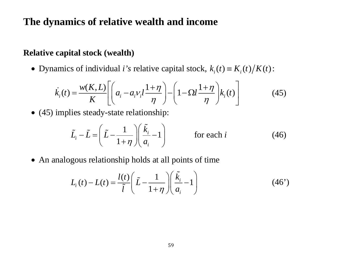### **The dynamics of relative wealth and income**

### **Relative capital stock (wealth)**

• Dynamics of individual *i*'s relative capital stock,  $k_i(t) = K_i(t)/K(t)$ :

$$
\dot{k}_i(t) = \frac{w(K, L)}{K} \left[ \left( a_i - a_i v_i l \frac{1 + \eta}{\eta} \right) - \left( 1 - \Omega l \frac{1 + \eta}{\eta} \right) k_i(t) \right]
$$
(45)

• (45) implies steady-state relationship:

$$
\tilde{L}_i - \tilde{L} = \left(\tilde{L} - \frac{1}{1 + \eta}\right) \left(\frac{\tilde{k}_i}{a_i} - 1\right) \qquad \text{for each } i \tag{46}
$$

• An analogous relationship holds at all points of time

$$
L_i(t) - L(t) = \frac{l(t)}{\tilde{l}} \left( \tilde{L} - \frac{1}{1 + \eta} \right) \left( \frac{\tilde{k}_i}{a_i} - 1 \right)
$$
(46')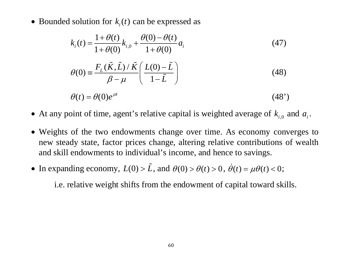• Bounded solution for  $k_i(t)$  can be expressed as

$$
k_i(t) = \frac{1 + \theta(t)}{1 + \theta(0)} k_{i,0} + \frac{\theta(0) - \theta(t)}{1 + \theta(0)} a_i
$$
 (47)

$$
\theta(0) = \frac{F_L(\tilde{K}, \tilde{L}) / \tilde{K}}{\beta - \mu} \left( \frac{L(0) - \tilde{L}}{1 - \tilde{L}} \right)
$$
(48)

$$
\theta(t) = \theta(0)e^{\mu t} \tag{48'}
$$

- At any point of time, agent's relative capital is weighted average of  $k_{i,0}$  and  $a_i$ .
- Weights of the two endowments change over time. As economy converges to new steady state, factor prices change, altering relative contributions of wealth and skill endowments to individual's income, and hence to savings.
- In expanding economy,  $L(0) > \tilde{L}$ , and  $\theta(0) > \theta(t) > 0$ ,  $\dot{\theta}(t) = \mu \theta(t) < 0$  $\mathcal{H}(t) = \mu \mathcal{H}(t) \leq 0;$

i.e. relative weight shifts from the endowment of capital toward skills.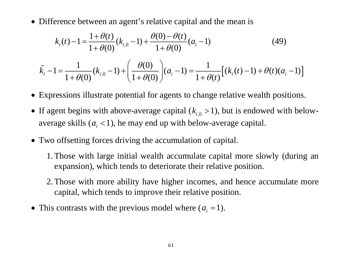• Difference between an agent's relative capital and the mean is

$$
k_i(t) - 1 = \frac{1 + \theta(t)}{1 + \theta(0)} (k_{i,0} - 1) + \frac{\theta(0) - \theta(t)}{1 + \theta(0)} (a_i - 1)
$$
(49)

$$
\tilde{k}_{i} - 1 = \frac{1}{1 + \theta(0)} (k_{i,0} - 1) + \left( \frac{\theta(0)}{1 + \theta(0)} \right) (a_{i} - 1) = \frac{1}{1 + \theta(t)} \Big[ (k_{i}(t) - 1) + \theta(t) (a_{i} - 1) \Big]
$$

- Expressions illustrate potential for agents to change relative wealth positions.
- If agent begins with above-average capital  $(k_{i,0} > 1)$ , but is endowed with belowaverage skills  $(a_i < 1)$ , he may end up with below-average capital.
- Two offsetting forces driving the accumulation of capital.
	- 1.Those with large initial wealth accumulate capital more slowly (during an expansion), which tends to deteriorate their relative position.
	- 2.Those with more ability have higher incomes, and hence accumulate more capital, which tends to improve their relative position.
- This contrasts with the previous model where  $(a_i = 1)$ .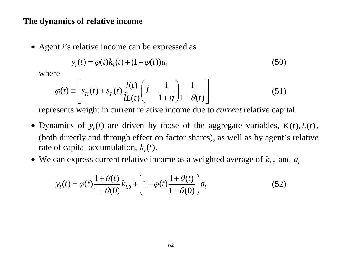### **The dynamics of relative income**

Agent *i*'s relative income can be expressed as

$$
y_i(t) = \varphi(t)k_i(t) + (1 - \varphi(t))a_i
$$
\n(50)

where

$$
\varphi(t) \equiv \left[ s_K(t) + s_L(t) \frac{l(t)}{\tilde{l}L(t)} \left( \tilde{L} - \frac{1}{1 + \eta} \right) \frac{1}{1 + \theta(t)} \right] \tag{51}
$$

represents weight in current relative income due to *current* relative capital.

- Dynamics of  $y_i(t)$  are driven by those of the aggregate variables,  $K(t)$ ,  $L(t)$ , (both directly and through effect on factor shares), as well as by agent's relative rate of capital accumulation,  $k_i(t)$ .
- We can express current relative income as a weighted average of  $k_{i,0}$  and  $a_i$

$$
y_i(t) = \varphi(t) \frac{1 + \theta(t)}{1 + \theta(0)} k_{i,0} + \left(1 - \varphi(t) \frac{1 + \theta(t)}{1 + \theta(0)}\right) a_i
$$
 (52)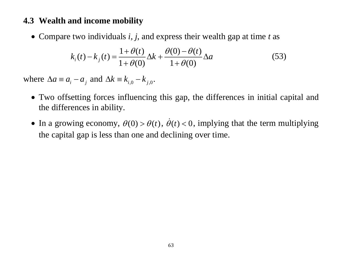### **4.3 Wealth and income mobility**

Compare two individuals *i, j*, and express their wealth gap at time *<sup>t</sup>* as

$$
k_i(t) - k_j(t) = \frac{1 + \theta(t)}{1 + \theta(0)} \Delta k + \frac{\theta(0) - \theta(t)}{1 + \theta(0)} \Delta a
$$
 (53)

where  $\Delta a \equiv a_i - a_i$  and  $\Delta k \equiv k_{i,0} - k_{i,0}$ .

- Two offsetting forces influencing this gap, the differences in initial capital and the differences in ability.
- In a growing economy,  $\theta(0) > \theta(t)$ ,  $\dot{\theta}(t) < 0$ , implying that the term multiplying the capital gap is less than one and declining over time.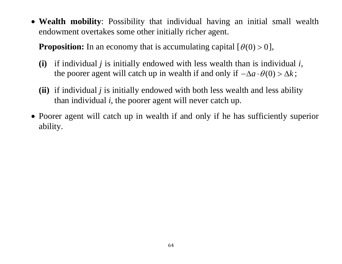**Wealth mobility**: Possibility that individual having an initial small wealth endowment overtakes some other initially richer agent.

**Proposition:** In an economy that is accumulating capital  $[\theta(0) > 0]$ ,

- **(i)** if individual *j* is initially endowed with less wealth than is individual *i*, the poorer agent will catch up in wealth if and only if  $-\Delta a \cdot \theta(0) > \Delta k$ ;
- **(ii)** if individual *j* is initially endowed with both less wealth and less ability than individual *i*, the poorer agent will never catch up.
- Poorer agent will catch up in wealth if and only if he has sufficiently superior ability.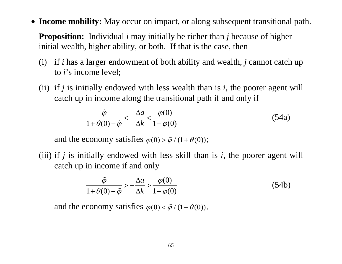**Income mobility:** May occur on impact, or along subsequent transitional path.

**Proposition:** Individual *i* may initially be richer than *j* because of higher initial wealth, higher ability, or both. If that is the case, then

- (i) if *i* has a larger endowment of both ability and wealth, *j* cannot catch up to *i*'s income level;
- (ii) if *j* is initially endowed with less wealth than is *i*, the poorer agent will catch up in income along the transitional path if and only if

$$
\frac{\tilde{\varphi}}{1+\theta(0)-\tilde{\varphi}} < -\frac{\Delta a}{\Delta k} < \frac{\varphi(0)}{1-\varphi(0)}
$$
(54a)

and the economy satisfies  $\varphi(0) > \tilde{\varphi} / (1 + \theta(0))$ ;

(iii) if *j* is initially endowed with less skill than is *i*, the poorer agent will catch up in income if and only

$$
\frac{\tilde{\varphi}}{1+\theta(0)-\tilde{\varphi}} > -\frac{\Delta a}{\Delta k} > \frac{\varphi(0)}{1-\varphi(0)}
$$
(54b)

and the economy satisfies  $\varphi(0) < \tilde{\varphi} / (1 + \theta(0))$ .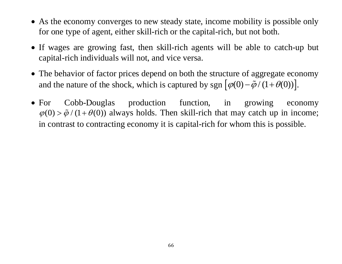- As the economy converges to new steady state, income mobility is possible only for one type of agent, either skill-rich or the capital-rich, but not both.
- If wages are growing fast, then skill-rich agents will be able to catch-up but capital-rich individuals will not, and vice versa.
- The behavior of factor prices depend on both the structure of aggregate economy and the nature of the shock, which is captured by sgn  $\left[\phi(0) - \tilde{\phi}/(1 + \theta(0))\right]$ .
- $\bullet$  For Cobb-Douglas production function, in growing economy  $\varphi(0)$  >  $\tilde{\varphi}$  / (1+ $\theta$ (0)) always holds. Then skill-rich that may catch up in income; in contrast to contracting economy it is capital-rich for whom this is possible.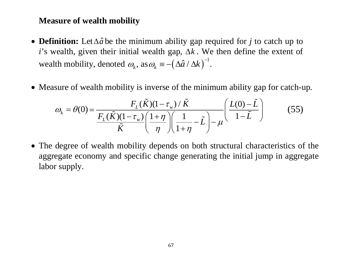## **Measure of wealth mobility**

- **Definition:** Let $\Delta \hat{a}$  be the minimum ability gap required for *j* to catch up to *i*'s wealth, given their initial wealth gap,  $\Delta k$ . We then define the extent of wealth mobility, denoted  $\omega_k$ , as  $\omega_k = -(\Delta \hat{a} / \Delta k)^{-1}$ .
- Measure of wealth mobility is inverse of the minimum ability gap for catch-up.

$$
\omega_{k} = \theta(0) = \frac{F_{L}(\tilde{K})(1 - \tau_{w}) / \tilde{K}}{F_{L}(\tilde{K})(1 - \tau_{w}) \left(1 + \eta\right) \left(1 - \tilde{L}\right)} \qquad (55)
$$

 The degree of wealth mobility depends on both structural characteristics of the aggregate economy and specific change generating the initial jump in aggregate labor supply.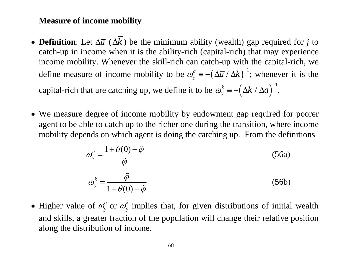## **Measure of income mobility**

- **Definition**: Let  $\Delta \overline{a}$  ( $\Delta k$ ) be the minimum ability (wealth) gap required for *j* to catch-up in income when it is the ability-rich (capital-rich) that may experience income mobility. Whenever the skill-rich can catch-up with the capital-rich, we define measure of income mobility to be  $\omega_{v}^{a} = -(\Delta \overline{a} / \Delta k)^{-1}$ ; whenever it is the capital-rich that are catching up, we define it to be  $\omega_{v}^{k} = -(\Delta \overline{k} / \Delta a)^{-1}$ .
- We measure degree of income mobility by endowment gap required for poorer agent to be able to catch up to the richer one during the transition, where income mobility depends on which agent is doing the catching up. From the definitions

$$
\omega_{y}^{a} = \frac{1 + \theta(0) - \tilde{\varphi}}{\tilde{\varphi}}
$$
\n
$$
\omega_{y}^{k} = \frac{\tilde{\varphi}}{1 + \theta(0) - \tilde{\varphi}}
$$
\n(56a)\n(56b)

0 • Higher value of  $\omega_{y}^{a}$  or  $\omega_{y}^{k}$  implies that, for given distributions of initial wealth and skills, a greater fraction of the population will change their relative position along the distribution of income.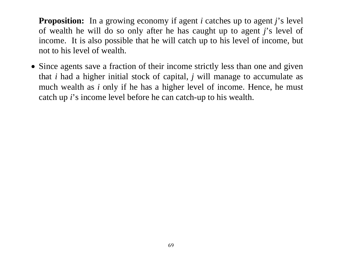**Proposition:** In a growing economy if agent *i* catches up to agent *j*'s level of wealth he will do so only after he has caught up to agent *j*'s level of income. It is also possible that he will catch up to his level of income, but not to his level of wealth.

• Since agents save a fraction of their income strictly less than one and given that *i* had a higher initial stock of capital, *j* will manage to accumulate as much wealth as *i* only if he has a higher level of income. Hence, he must catch up *i*'s income level before he can catch-up to his wealth.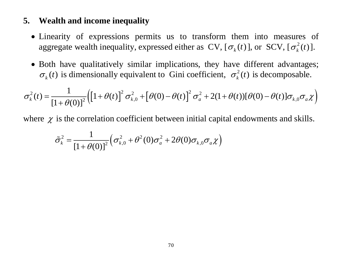## **5. Wealth and income inequality**

- Linearity of expressions permits us to transform them into measures of aggregate wealth inequality, expressed either as  $CV$ ,  $[\sigma_k(t)]$ , or  $SCV$ ,  $[\sigma_k^2(t)]$ .
- Both have qualitatively similar implications, they have different advantages;  $\sigma_k(t)$  is dimensionally equivalent to Gini coefficient,  $\sigma_k^2(t)$  is decomposable.

$$
\sigma_k^2(t) = \frac{1}{\left[1 + \theta(0)\right]^2} \left( \left[1 + \theta(t)\right]^2 \sigma_{k,0}^2 + \left[\theta(0) - \theta(t)\right]^2 \sigma_a^2 + 2(1 + \theta(t))[\theta(0) - \theta(t)] \sigma_{k,0} \sigma_a \chi \right)
$$

where  $\chi$  is the correlation coefficient between initial capital endowments and skills.

$$
\tilde{\sigma}_k^2 = \frac{1}{\left[1 + \theta(0)\right]^2} \left(\sigma_{k,0}^2 + \theta^2(0)\sigma_a^2 + 2\theta(0)\sigma_{k,0}\sigma_a\chi\right)
$$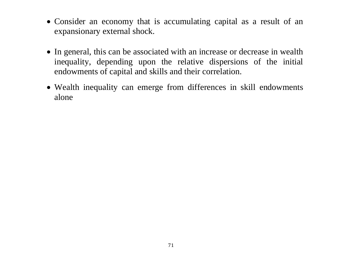- Consider an economy that is accumulating capital as a result of an expansionary external shock.
- In general, this can be associated with an increase or decrease in wealth inequality, depending upon the relative dispersions of the initial endowments of capital and skills and their correlation.
- Wealth inequality can emerge from differences in skill endowments alone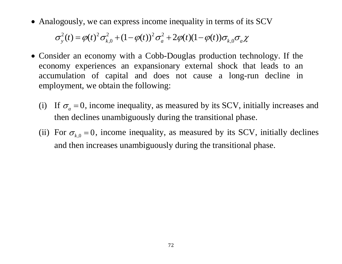• Analogously, we can express income inequality in terms of its SCV

 $\sigma_y^2(t) = \varphi(t)^2 \sigma_{k,0}^2 + (1 - \varphi(t))^2 \sigma_a^2 + 2\varphi(t)(1 - \varphi(t))\sigma_{k,0}\sigma_a\chi$ 

- Consider an economy with a Cobb-Douglas production technology. If the economy experiences an expansionary external shock that leads to an accumulation of capital and does not cause a long-run decline in employment, we obtain the following:
	- (i) If  $\sigma_a = 0$ , income inequality, as measured by its SCV, initially increases and then declines unambiguously during the transitional phase.
	- (ii) For  $\sigma_{k,0} = 0$ , income inequality, as measured by its SCV, initially declines and then increases unambiguously during the transitional phase.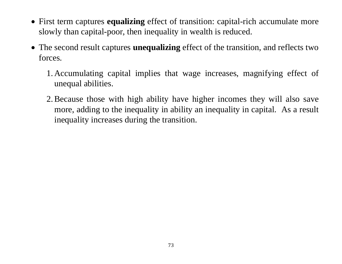- First term captures **equalizing** effect of transition: capital-rich accumulate more slowly than capital-poor, then inequality in wealth is reduced.
- The second result captures **unequalizing** effect of the transition, and reflects two forces.
	- 1. Accumulating capital implies that wage increases, magnifying effect of unequal abilities.
	- 2.Because those with high ability have higher incomes they will also save more, adding to the inequality in ability an inequality in capital. As a result inequality increases during the transition.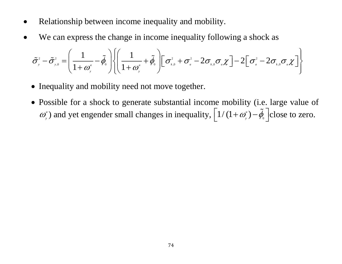- 0 Relationship between income inequality and mobility.
- 0 We can express the change in income inequality following a shock as

$$
\tilde{\sigma}_{y}^{2} - \tilde{\sigma}_{y,0}^{2} = \left(\frac{1}{1+\omega_{y}^{a}} - \tilde{\phi}_{0}\right) \left\{\left(\frac{1}{1+\omega_{y}^{a}} + \tilde{\phi}_{0}\right)\left[\sigma_{y,0}^{2} + \sigma_{y}^{2} - 2\sigma_{y,0}\sigma_{y}\chi\right] - 2\left[\sigma_{y}^{2} - 2\sigma_{y,0}\sigma_{y}\chi\right]\right\}
$$

- Inequality and mobility need not move together.
- Possible for a shock to generate substantial income mobility (i.e. large value of  $\boldsymbol{\omega}^{^a}$  $g_y^a$ ) and yet engender small changes in inequality,  $\left[1/(1 + \omega_y^a) - \tilde{\phi}_0\right]$  close to zero.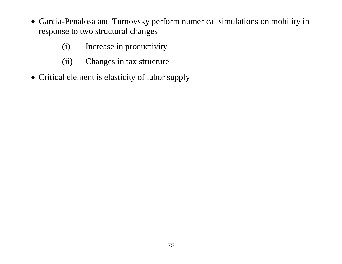- Garcia-Penalosa and Turnovsky perform numerical simulations on mobility in response to two structural changes
	- (i) Increase in productivity
	- (ii) Changes in tax structure
- Critical element is elasticity of labor supply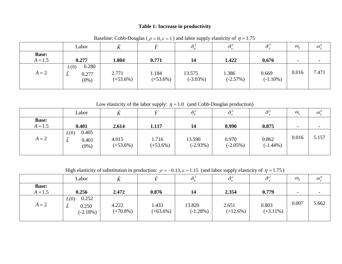#### **Table 1: Increase in productivity**

|                           | Labor                                  |                     |                      | $\sigma$ ,            | $\tilde{\sigma}$    |                      | $\omega_{\iota}$ | $\boldsymbol{\omega}^{\boldsymbol{a}}$ |
|---------------------------|----------------------------------------|---------------------|----------------------|-----------------------|---------------------|----------------------|------------------|----------------------------------------|
| <b>Base:</b><br>$A = 1.5$ | 0.277                                  | 1.804               | 0.771                | 14                    | 1.422               | 0.676                | $\blacksquare$   |                                        |
| $A = 2$                   | 0.280<br>L(0)<br>0.277<br>ப<br>$(0\%)$ | 2.771<br>$(+53.6%)$ | 1.184<br>$(+53.6\%)$ | 13.575<br>$(-3.03\%)$ | 1.386<br>$(-2.57%)$ | 0.669<br>$(-1.10\%)$ | 0.016            | 7.471                                  |

Baseline: Cobb-Douglas ( $\rho = 0$ ,  $\varepsilon = 1$ ) and labor supply elasticity of  $\eta = 1.75$ 

Low elasticity of the labor supply:  $\eta = 1.0$  (and Cobb-Douglas production)

|                           | Labor                                  |                      |                     | $\tilde{\sigma}^2_{\nu}$ | $\tilde{\sigma}^2$   | -≃2                  | $\omega_{\iota}$ | $\boldsymbol{\omega}^{\boldsymbol{a}}$ |
|---------------------------|----------------------------------------|----------------------|---------------------|--------------------------|----------------------|----------------------|------------------|----------------------------------------|
| <b>Base:</b><br>$A = 1.5$ | 0.401                                  | 2.614                | 1.117               | 14                       | 0.990                | 0.875                |                  |                                        |
| $A = 2$                   | 0.405<br>L(0)<br>0.401<br>◡<br>$(0\%)$ | 4.015<br>$(+53.6\%)$ | 1.716<br>$(+53.6%)$ | 13.590<br>$(-2.93%)$     | 0.970<br>$(-2.05\%)$ | 0.862<br>$(-1.44\%)$ | 0.016            | 5.157                                  |

High elasticity of substitution in production:  $\rho = -0.13$ ,  $\varepsilon = 1.15$  (and labor supply elasticity of  $\eta = 1.75$ )

|                           | Labor                                     |                      |                     | $\tilde{\sigma}_{\scriptscriptstyle L}^2$ | $\tilde{\sigma}^2$  | $\tilde{=}^7$        | $\omega_{\iota}$         | $\omega^a$ |
|---------------------------|-------------------------------------------|----------------------|---------------------|-------------------------------------------|---------------------|----------------------|--------------------------|------------|
| <b>Base:</b><br>$A = 1.5$ | 0.256                                     | 2.472                | 0.876               | 14                                        | 2.354               | 0.779                | $\overline{\phantom{a}}$ |            |
| $A = 2$                   | 0.252<br>L(0)<br>0.250<br>ப<br>$(-2.18%)$ | 4.222<br>$(+70.8\%)$ | 1.433<br>$(+63.6%)$ | 13.820<br>$(-1.28\%)$                     | 2.651<br>$(+12.6%)$ | 0.803<br>$(+3.11\%)$ | 0.007                    | 5.662      |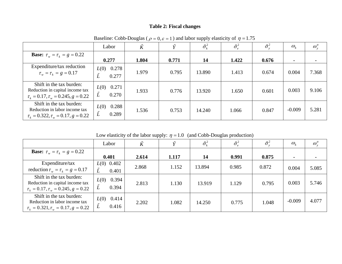### **Table 2: Fiscal changes**

|                                                                                                                | Labor                       | K     |       | $\tilde{\sigma}_k^2$ | $\tilde{\sigma}^2_e$ | $\tilde{\sigma}_{\rm v}^2$ | $\omega_{\scriptscriptstyle{k}}$ | $\omega_{v}^{a}$ |
|----------------------------------------------------------------------------------------------------------------|-----------------------------|-------|-------|----------------------|----------------------|----------------------------|----------------------------------|------------------|
| <b>Base:</b> $\tau_w = \tau_k = g = 0.22$                                                                      | 0.277                       | 1.804 | 0.771 | 14                   | 1.422                | 0.676                      | $\blacksquare$                   |                  |
| Expenditure/tax reduction<br>$\tau_w = \tau_k = g = 0.17$                                                      | 0.278<br>L(0)<br>0.277<br>L | 1.979 | 0.795 | 13.890               | 1.413                | 0.674                      | 0.004                            | 7.368            |
| Shift in the tax burden:<br>Reduction in capital income tax<br>$\tau_k = 0.17$ , $\tau_w = 0.245$ , $g = 0.22$ | $L(0)$ 0.271<br>L<br>0.270  | 1.933 | 0.776 | 13.920               | 1.650                | 0.601                      | 0.003                            | 9.106            |
| Shift in the tax burden:<br>Reduction in labor income tax<br>$\tau_{k} = 0.322, \tau_{w} = 0.17, g = 0.22$     | 0.288<br>L(0)<br>L<br>0.289 | 1.536 | 0.753 | 14.240               | 1.066                | 0.847                      | $-0.009$                         | 5.281            |

Baseline: Cobb-Douglas ( $\rho = 0$ ,  $\varepsilon = 1$ ) and labor supply elasticity of  $\eta = 1.75$ 

|  |  | Low elasticity of the labor supply: $\eta = 1.0$ (and Cobb-Douglas production) |  |
|--|--|--------------------------------------------------------------------------------|--|
|  |  |                                                                                |  |

|                                                                                                                | Labor                       |       |       | $\tilde{\sigma}^2_k$ | $\tilde{\sigma}^2_{\scriptscriptstyle\rho}$ | $\tilde{\sigma}_{\rm v}^2$ | $\omega_{\scriptscriptstyle{k}}$ | $\omega_{v}^{a}$ |
|----------------------------------------------------------------------------------------------------------------|-----------------------------|-------|-------|----------------------|---------------------------------------------|----------------------------|----------------------------------|------------------|
| <b>Base:</b> $\tau_w = \tau_k = g = 0.22$                                                                      | 0.401                       | 2.614 | 1.117 | 14                   | 0.991                                       | 0.875                      |                                  |                  |
| Expenditure/tax<br>reduction $\tau_w = \tau_k = g = 0.17$                                                      | $L(0)$ 0.402<br>0.401       | 2.868 | 1.152 | 13.894               | 0.985                                       | 0.872                      | 0.004                            | 5.085            |
| Shift in the tax burden:<br>Reduction in capital income tax<br>$\tau_k = 0.17$ , $\tau_w = 0.245$ , $g = 0.22$ | 0.394<br>L(0)<br>L<br>0.394 | 2.813 | 1.130 | 13.919               | 1.129                                       | 0.795                      | 0.003                            | 5.746            |
| Shift in the tax burden:<br>Reduction in labor income tax<br>$\tau_k = 0.321, \tau_w = 0.17, g = 0.22$         | 0.414<br>L(0)<br>L<br>0.416 | 2.202 | 1.082 | 14.250               | 0.775                                       | 1.048                      | $-0.009$                         | 4.077            |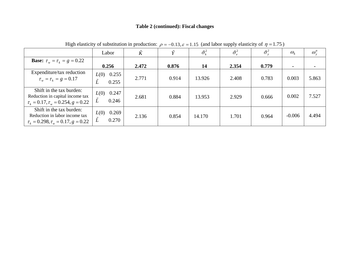#### **Table 2 (continued): Fiscal changes**

|                                                                                                                | Labor                       | $\tilde{K}$ | $\tilde{\mathbf{v}}$ | $\tilde{\sigma}_k^2$ | $\tilde{\sigma}_{e}^{2}$ | $\tilde{\sigma}_{v}^{2}$ | $\omega_{\scriptscriptstyle{k}}$ | $\omega_{v}^{a}$ |
|----------------------------------------------------------------------------------------------------------------|-----------------------------|-------------|----------------------|----------------------|--------------------------|--------------------------|----------------------------------|------------------|
| <b>Base:</b> $\tau_w = \tau_k = g = 0.22$                                                                      | 0.256                       | 2.472       | 0.876                | 14                   | 2.354                    | 0.779                    | $\blacksquare$                   |                  |
| Expenditure/tax reduction<br>$\tau_w = \tau_k = g = 0.17$                                                      | 0.255<br>L(0)<br>0.255      | 2.771       | 0.914                | 13.926               | 2.408                    | 0.783                    | 0.003                            | 5.863            |
| Shift in the tax burden:<br>Reduction in capital income tax<br>$\tau_k = 0.17$ , $\tau_w = 0.254$ , $g = 0.22$ | 0.247<br>L(0)<br>L<br>0.246 | 2.681       | 0.884                | 13.953               | 2.929                    | 0.666                    | 0.002                            | 7.527            |
| Shift in the tax burden:<br>Reduction in labor income tax<br>$\tau_k = 0.298, \tau_w = 0.17, g = 0.22$         | 0.269<br>L(0)<br>Ĺ<br>0.270 | 2.136       | 0.854                | 14.170               | 1.701                    | 0.964                    | $-0.006$                         | 4.494            |

High elasticity of substitution in production:  $\rho = -0.13$ ,  $\varepsilon = 1.15$  (and labor supply elasticity of  $\eta = 1.75$ )